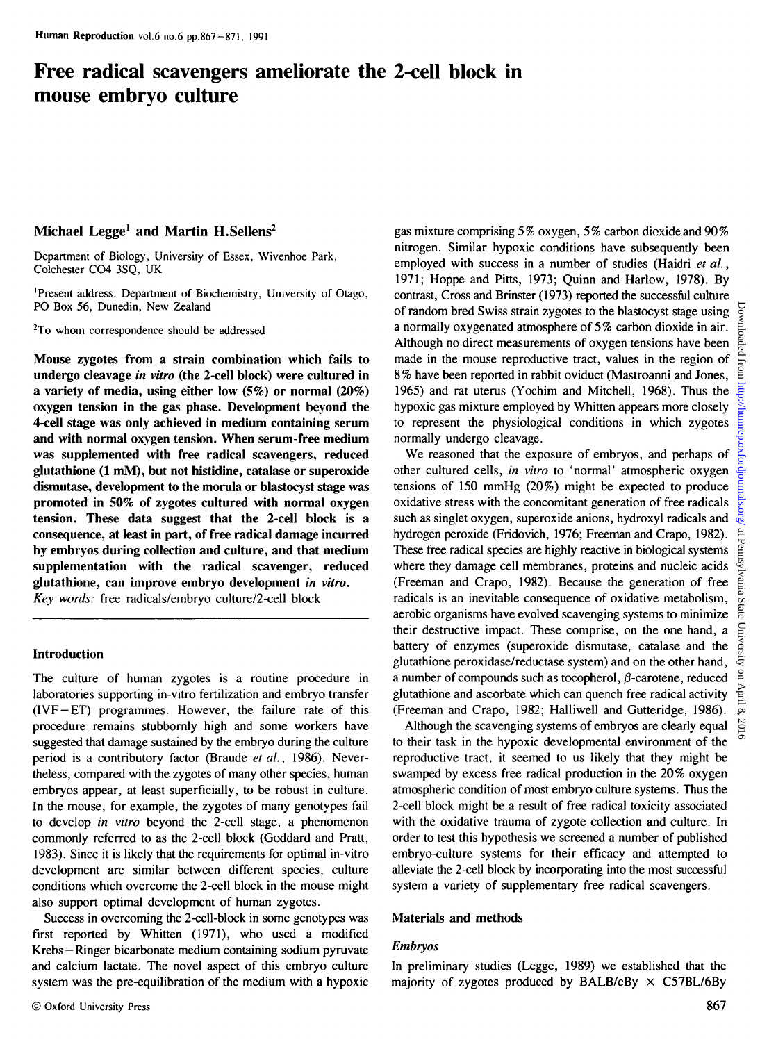# **Free radical scavengers ameliorate the 2-cell block in mouse embryo culture**

# Michael Legge<sup>1</sup> and Martin H.Sellens<sup>2</sup>

Department of Biology, University of Essex, Wivenhoe Park, Colchester CO4 3SQ, UK

'Present address: Department of Biochemistry, University of Otago, PO Box 56, Dunedin, New Zealand

<sup>2</sup>To whom correspondence should be addressed

**Mouse zygotes from a strain combination which fails to undergo cleavage** *in vitro* **(the 2-cell block) were cultured in a variety of media, using either low (5%) or normal (20%) oxygen tension in the gas phase. Development beyond the 4-cell stage was only achieved in medium containing serum and with normal oxygen tension. When serum-free medium was supplemented with free radical scavengers, reduced glutathione (1 mM), but not histidine, catalase or superoxide** dismutase, development to the morula or blastocyst stage was **promoted in 50% of zygotes cultured with normal oxygen tension. These data suggest that the 2-cell block is a consequence, at least in part, of free radical damage incurred by embryos during collection and culture, and that medium supplementation with the radical scavenger, reduced glutathione, can improve embryo development** *in vitro. Key words:* free radicals/embryo culture/2-cell block

#### **Introduction**

The culture of human zygotes is a routine procedure in laboratories supporting in-vitro fertilization and embryo transfer (IVF —ET) programmes. However, the failure rate of this procedure remains stubbornly high and some workers have suggested that damage sustained by the embryo during the culture period is a contributory factor (Braude et al., 1986). Nevertheless, compared with the zygotes of many other species, human embryos appear, at least superficially, to be robust in culture. In the mouse, for example, the zygotes of many genotypes fail to develop *in vitro* beyond the 2-cell stage, a phenomenon commonly referred to as the 2-cell block (Goddard and Pratt, 1983). Since it is likely that the requirements for optimal in-vitro development are similar between different species, culture conditions which overcome the 2-cell block in the mouse might also support optimal development of human zygotes.

Success in overcoming the 2-cell-block in some genotypes was first reported by Whitten (1971), who used a modified Krebs-Ringer bicarbonate medium containing sodium pyruvate and calcium lactate. The novel aspect of this embryo culture system was the pre-equilibration of the medium with a hypoxic gas mixture comprising *5%* oxygen, 5% carbon dioxide and 90% nitrogen. Similar hypoxic conditions have subsequendy been employed with success in a number of studies (Haidri *et al.,* 1971; Hoppe and Pitts, 1973; Quinn and Harlow, 1978). By contrast, Cross and Brinster (1973) reported the successful culture of random bred Swiss strain zygotes to the blastocyst stage using a normally oxygenated atmosphere of 5% carbon dioxide in air. Although no direct measurements of oxygen tensions have been made in the mouse reproductive tract, values in the region of 8% have been reported in rabbit oviduct (Mastroanni and Jones, 1965) and rat uterus (Yochim and Mitchell, 1968). Thus the hypoxic gas mixture employed by Whitten appears more closely to represent the physiological conditions in which zygotes normally undergo cleavage.

We reasoned that the exposure of embryos, and perhaps of other cultured cells, *in vitro* to 'normal' atmospheric oxygen tensions of 150 mmHg  $(20\%)$  might be expected to produce oxidative stress with the concomitant generation of free radicals such as singlet oxygen, superoxide anions, hydroxyl radicals and hydrogen peroxide (Fridovich, 1976; Freeman and Crapo, 1982). These free radical species are highly reactive in biological systems where they damage cell membranes, proteins and nucleic acids (Freeman and Crapo, 1982). Because die generation of free radicals is an inevitable consequence of oxidative metabolism, aerobic organisms have evolved scavenging systems to minimize their destructive impact. These comprise, on the one hand, a battery of enzymes (superoxide dismutase, catalase and the glutathione peroxidase/reductase system) and on the other hand, a number of compounds such as tocopherol,  $\beta$ -carotene, reduced glutathione and ascorbate which can quench free radical activity (Freeman and Crapo, 1982; Halliwell and Gutteridge, 1986).

Although the scavenging systems of embryos are clearly equal to their task in the hypoxic developmental environment of the reproductive tract, it seemed to us likely that they might be swamped by excess free radical production in the 20% oxygen atmospheric condition of most embryo culture systems. Thus the 2-cell block might be a result of free radical toxicity associated with the oxidative trauma of zygote collection and culture. In order to test this hypothesis we screened a number of published embryo-culture systems for their efficacy and attempted to alleviate the 2-cell block by incorporating into the most successful system a variety of supplementary free radical scavengers.

#### **Materials and methods**

#### *Embryos*

In preliminary studies (Legge, 1989) we established that die majority of zygotes produced by BALB/cBy  $\times$  C57BL/6By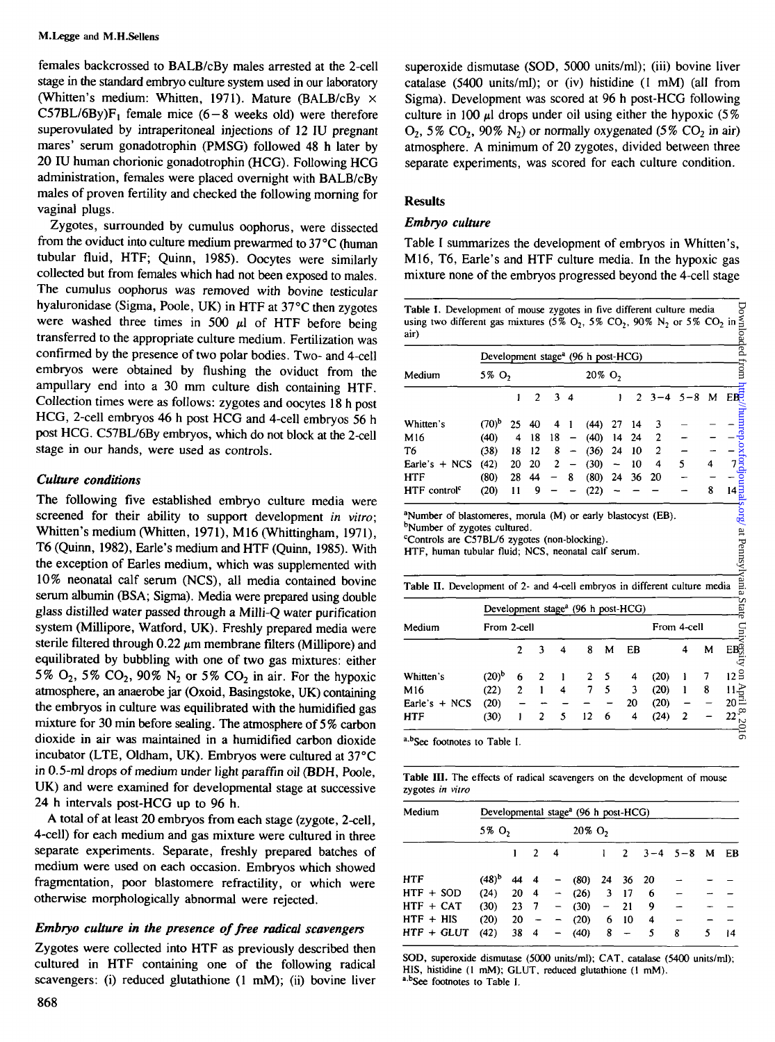females backcrossed to BALB/cBy males arrested at the 2-cell stage in the standard embryo culture system used in our laboratory (Whitten's medium: Whitten, 1971). Mature (BALB/cBy x C57BL/6By) $F_1$  female mice (6-8 weeks old) were therefore superovulated by intraperitoneal injections of 12 IU pregnant mares' serum gonadotrophin (PMSG) followed 48 h later by 20 IU human chorionic gonadotrophin (HCG). Following HCG administration, females were placed overnight with BALB/cBy males of proven fertility and checked the following morning for vaginal plugs.

Zygotes, surrounded by cumulus oophorus, were dissected from the oviduct into culture medium prewarmed to 37 °C (human tubular fluid, HTF; Quinn, 1985). Oocytes were similarly collected but from females which had not been exposed to males. The cumulus oophorus was removed with bovine testicular hyaluronidase (Sigma, Poole, UK) in HTF at 37°C then zygotes were washed three times in 500  $\mu$ l of HTF before being transferred to the appropriate culture medium. Fertilization was confirmed by the presence of two polar bodies. Two- and 4-cell embryos were obtained by flushing the oviduct from the ampullary end into a 30 mm culture dish containing HTF. Collection times were as follows: zygotes and oocytes 18 h post HCG, 2-cell embryos 46 h post HCG and 4-cell embryos 56 h post HCG. C57BL/6By embryos, which do not block at the 2-cell stage in our hands, were used as controls.

### *Culture conditions*

The following five established embryo culture media were screened for their ability to support development *in vitro;* Whitten's medium (Whitten, 1971), M16 (Whittingham, 1971), T6 (Quinn, 1982), Earle's medium and HTF (Quinn, 1985). With the exception of Earles medium, which was supplemented with 10% neonatal calf serum (NCS), all media contained bovine serum albumin (BSA; Sigma). Media were prepared using double glass distilled water passed through a Milli-Q water purification system (Millipore, Watford, UK). Freshly prepared media were sterile filtered through  $0.22 \mu m$  membrane filters (Millipore) and equilibrated by bubbling with one of two gas mixtures: either 5%  $O_2$ , 5%  $CO_2$ , 90%  $N_2$  or 5%  $CO_2$  in air. For the hypoxic atmosphere, an anaerobe jar (Oxoid, Basingstoke, UK) containing the embryos in culture was equilibrated with the humidified gas mixture for 30 min before sealing. The atmosphere of 5% carbon dioxide in air was maintained in a humidified carbon dioxide incubator (LTE, Oldham, UK). Embryos were cultured at 37°C in 0.5-ml drops of medium under light paraffin oil (BDH, Poole, UK) and were examined for developmental stage at successive 24 h intervals post-HCG up to 96 h.

A total of at least 20 embryos from each stage (zygote, 2-cell, 4-cell) for each medium and gas mixture were cultured in three separate experiments. Separate, freshly prepared batches of medium were used on each occasion. Embryos which showed fragmentation, poor blastomere refractility, or which were otherwise morphologically abnormal were rejected.

# *Embryo culture in the presence of free radical scavengers*

Zygotes were collected into HTF as previously described then cultured in HTF containing one of the following radical scavengers: (i) reduced glutathione (1 mM); (ii) bovine liver

superoxide dismutase (SOD, 5000 units/ml); (iii) bovine liver catalase (5400 units/ml); or (iv) histidine (1 mM) (all from Sigma). Development was scored at 96 h post-HCG following culture in 100  $\mu$ l drops under oil using either the hypoxic (5%  $O_2$ , 5%  $CO_2$ , 90% N<sub>2</sub>) or normally oxygenated (5% CO<sub>2</sub> in air) atmosphere. A minimum of 20 zygotes, divided between three separate experiments, was scored for each culture condition.

# **Results**

# *Embryo culture*

Table I summarizes the development of embryos in Whitten's, M16, T6, Earle's and HTF culture media. In the hypoxic gas mixture none of the embryos progressed beyond the 4-cell stage

| Table I. Development of mouse zygotes in five different culture media<br>using two different gas mixtures (5% O <sub>2</sub> , 5% CO <sub>2</sub> , 90% N <sub>2</sub> or 5% CO <sub>2</sub> in $\frac{5}{2}$<br>air) |  |
|-----------------------------------------------------------------------------------------------------------------------------------------------------------------------------------------------------------------------|--|
| Development stage <sup>a</sup> (96 h post-HCG)                                                                                                                                                                        |  |

|                                                                                                                  |                   |    |       |                           |                          | Development stage" (96 h post-HCG) |                          |               |                |             |   |                               |
|------------------------------------------------------------------------------------------------------------------|-------------------|----|-------|---------------------------|--------------------------|------------------------------------|--------------------------|---------------|----------------|-------------|---|-------------------------------|
| Medium                                                                                                           | 5% O <sub>2</sub> |    |       | uor<br>20% O <sub>2</sub> |                          |                                    |                          |               |                |             |   |                               |
|                                                                                                                  |                   |    | 2     |                           | $3 \quad 4$              |                                    |                          | $\mathcal{P}$ |                | $3-4$ 5-8 M |   | ЕB <sup>3</sup>               |
| Whitten's                                                                                                        | $(70)^b$          |    | 25 40 | 4                         | -1                       | (44)                               | 27                       | 14            | 3              |             |   |                               |
| M16                                                                                                              | (40)              | 4  | 18    | 18                        | $\overline{\phantom{m}}$ | (40)                               | 14                       | 24            | $\mathbf{2}$   |             |   |                               |
| Т6                                                                                                               | (38)              | 18 | -12   | 8                         | $\overline{\phantom{m}}$ | (36)                               | 24                       | 10-           | $\overline{c}$ |             |   |                               |
| Earle's $+$ NCS                                                                                                  | (42)              | 20 | 20    | $\overline{2}$            | $\overline{\phantom{0}}$ | (30)                               | $\overline{\phantom{m}}$ | 10            | 4              | 5           |   |                               |
| HTF                                                                                                              | (80)              | 28 | 44    |                           | 8                        | $(80)$ 24                          |                          |               | 36 20          |             |   |                               |
| HTF control <sup>c</sup>                                                                                         | (20)              | 11 | 9     |                           |                          | (22)                               |                          |               |                |             | 8 | –<br>∴oxfordjournals<br>∴oxfo |
| <sup>a</sup> Number of blastomeres, morula (M) or early blastocyst (EB).                                         |                   |    |       |                           |                          |                                    |                          |               |                |             |   | :org/                         |
| <sup>b</sup> Number of zygotes cultured.                                                                         |                   |    |       |                           |                          |                                    |                          |               |                |             |   |                               |
| <sup>c</sup> Controls are C57BL/6 zygotes (non-blocking).<br>HTF, human tubular fluid; NCS, neonatal calf serum. |                   |    |       |                           |                          |                                    |                          |               |                |             |   |                               |
|                                                                                                                  |                   |    |       |                           |                          |                                    |                          |               |                |             |   | at Pennsy                     |
|                                                                                                                  |                   |    |       |                           |                          |                                    |                          |               |                |             |   |                               |

| Table I. Development of mouse zygotes in five different culture media<br>using two different gas mixtures $(5\% O_2, 5\% CO_2, 90\% N_2 \text{ or } 5\% CO_2 \text{ in } \frac{25}{100}$<br>air)<br>Development stage <sup>a</sup> (96 h post-HCG) | Development stage <sup>a</sup> (96 h post-HCG) |                |                |                         |            |                                                |                          |                |                |             |   |                                             |
|----------------------------------------------------------------------------------------------------------------------------------------------------------------------------------------------------------------------------------------------------|------------------------------------------------|----------------|----------------|-------------------------|------------|------------------------------------------------|--------------------------|----------------|----------------|-------------|---|---------------------------------------------|
| Medium                                                                                                                                                                                                                                             | 5% O <sub>2</sub>                              |                |                |                         |            | 20% O <sub>2</sub>                             |                          |                |                |             |   | uoii                                        |
|                                                                                                                                                                                                                                                    |                                                | $\mathbf{1}$   | $\overline{2}$ |                         | $3\quad 4$ |                                                | 1                        | $\overline{2}$ | $3 - 4$ 5 $-8$ |             | M | <b>EP</b>                                   |
| Whitten's                                                                                                                                                                                                                                          | $(70)$ <sup>b</sup>                            | 25             | 40             | $\overline{\mathbf{4}}$ | 1          | (44)                                           | 27                       | 14             | 3              |             |   |                                             |
| M16                                                                                                                                                                                                                                                | (40)                                           | 4              | 18             | 18                      |            | (40)                                           | 14                       | 24             | 2              |             |   |                                             |
| T6                                                                                                                                                                                                                                                 | (38)                                           | 18             | 12             | 8                       | -          | (36)                                           | 24                       | 10             | $\overline{c}$ |             |   |                                             |
| Earle's $+$ NCS                                                                                                                                                                                                                                    | (42)                                           | 20             | 20             | $\overline{2}$          | -          | (30)                                           | $\overline{\phantom{a}}$ | 10             | 4              | 5           | 4 |                                             |
| <b>HTF</b>                                                                                                                                                                                                                                         | (80)                                           | 28             | 44             |                         | 8          | (80)                                           | 24                       | 36             | 20             |             |   |                                             |
| HTF control <sup>c</sup>                                                                                                                                                                                                                           | (20)                                           |                |                |                         |            |                                                |                          |                |                |             |   |                                             |
| <sup>a</sup> Number of blastomeres, morula (M) or early blastocyst (EB).<br><sup>b</sup> Number of zygotes cultured.<br><sup>c</sup> Controls are C57BL/6 zygotes (non-blocking).<br>HTF, human tubular fluid; NCS, neonatal calf serum.           |                                                | 11             | 9              |                         |            | (22)                                           |                          |                |                |             | 8 |                                             |
| Table II. Development of 2- and 4-cell embryos in different culture media                                                                                                                                                                          |                                                |                |                |                         |            |                                                |                          |                |                |             |   |                                             |
|                                                                                                                                                                                                                                                    |                                                |                |                |                         |            |                                                |                          |                |                |             |   | $\frac{1}{\sqrt{2}}$                        |
| Medium                                                                                                                                                                                                                                             | From 2-cell                                    |                |                |                         |            | Development stage <sup>a</sup> (96 h post-HCG) |                          |                |                | From 4-cell |   |                                             |
|                                                                                                                                                                                                                                                    |                                                | $\overline{2}$ | 3              |                         | 4          | 8                                              | M                        | EВ             |                | 4           | М | at Pennsylyania, State<br>EB <sub>min</sub> |
| Whitten's                                                                                                                                                                                                                                          | $(20)^{b}$                                     | 6              | 2              |                         | 1          | 2                                              | 5                        | 4              | (20)           | 1           | 7 | ਣੋ<br>12g                                   |
| M <sub>16</sub>                                                                                                                                                                                                                                    | (22)                                           | $\overline{2}$ | $\mathbf{1}$   |                         | 4          | 7                                              | 5                        | 3              | (20)           | 1           | 8 |                                             |
| Earle's $+$ NCS                                                                                                                                                                                                                                    | (20)                                           |                |                |                         |            |                                                |                          | 20             | (20)           |             |   | $11\frac{1}{9}$<br>20 로                     |

a.b<sub>See</sub> footnotes to Table I.

Table III. The effects of radical scavengers on the development of mouse zygotes *in vitro*

| Medium      |              | Developmental stage <sup>a</sup> (96 h post-HCG) |      |                     |                                 |                                                 |              |       |     |                    |  |    |  |
|-------------|--------------|--------------------------------------------------|------|---------------------|---------------------------------|-------------------------------------------------|--------------|-------|-----|--------------------|--|----|--|
|             |              | $5\%$ O <sub>2</sub>                             |      |                     |                                 | 20% O <sub>2</sub>                              |              |       |     |                    |  |    |  |
|             |              |                                                  |      | $1 \quad 2 \quad 4$ |                                 |                                                 | $\mathbf{1}$ |       |     | 2 $3-4$ $5-8$ M EB |  |    |  |
| HTF.        |              |                                                  |      |                     | $(48)^b$ 44 4 - $(80)$ 24 36 20 |                                                 |              |       |     |                    |  |    |  |
| $HTF + SOD$ |              | (24)                                             |      |                     |                                 | $20 \quad 4 \quad - \quad 26) \quad 3 \quad 17$ |              |       | - 6 |                    |  |    |  |
| $HTF + CAT$ |              | (30)                                             | 23 7 |                     | $\sim$ $-$                      | (30)                                            |              | $-21$ | 9   |                    |  |    |  |
| $HTF + HIS$ |              | (20)                                             |      |                     | $20 - -$                        | (20) 6                                          |              | 10    | 4   |                    |  |    |  |
|             | $HTF + GLUT$ | (42)                                             |      |                     |                                 | $38 \quad 4 \quad - \quad (40) \quad 8 \quad -$ |              |       | 5   | 8                  |  | 14 |  |

SOD, superoxide dismutase (5000 units/ml); CAT, catalase (5400 units/ml); HIS, histidine (1 mM); GLUT, reduced glutathione (1 mM). a, b<sub>See</sub> footnotes to Table I.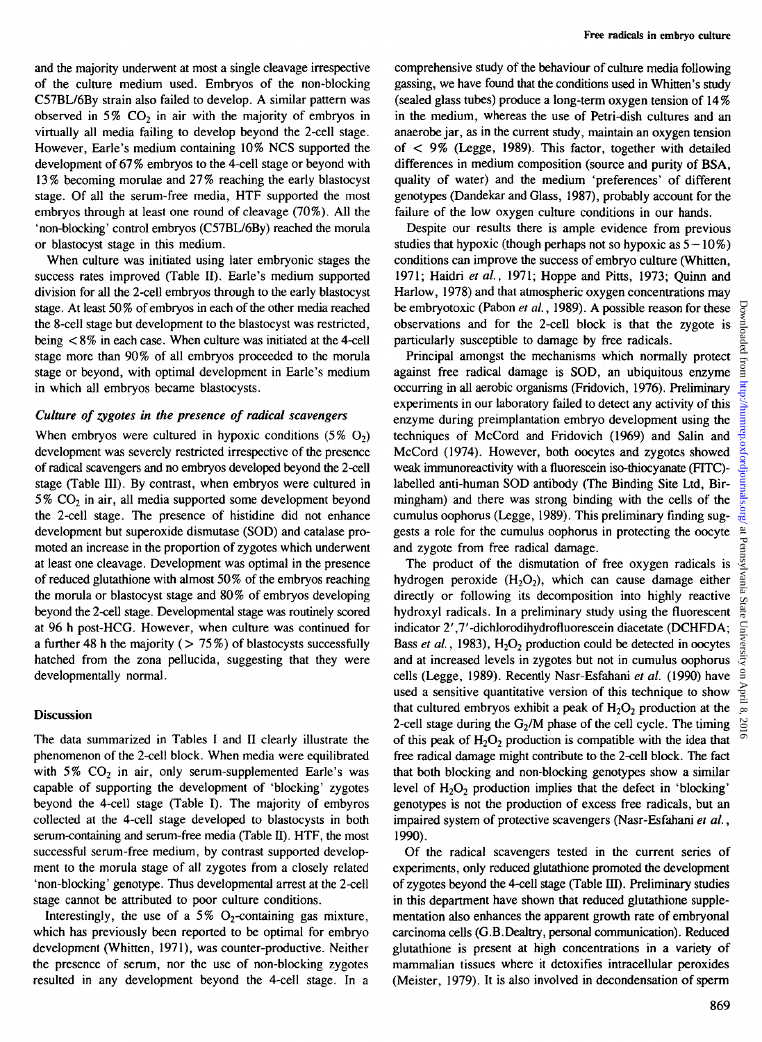and the majority underwent at most a single cleavage irrespective of the culture medium used. Embryos of the non-blocking C57BL/6By strain also failed to develop. A similar pattern was observed in  $5\%$  CO<sub>2</sub> in air with the majority of embryos in virtually all media failing to develop beyond the 2-cell stage. However, Earle's medium containing 10% NCS supported the development of 67 % embryos to the 4-cell stage or beyond with 13% becoming morulae and 27% reaching the early blastocyst stage. Of all the serum-free media, HTF supported the most embryos through at least one round of cleavage (70%). All the 'non-blocking' control embryos (C57BL/6By) reached the morula or blastocyst stage in this medium.

When culture was initiated using later embryonic stages the success rates improved (Table II). Earle's medium supported division for all the 2-cell embryos through to the early blastocyst stage. At least 50% of embryos in each of the other media reached the 8-cell stage but development to the blastocyst was restricted, being < 8% in each case. When culture was initiated at the 4-cell stage more than 90% of all embryos proceeded to the morula stage or beyond, with optimal development in Earle's medium in which all embryos became blastocysts.

### *Culture of zygotes in the presence of radical scavengers*

When embryos were cultured in hypoxic conditions  $(5\% \text{ O}_2)$ development was severely restricted irrespective of the presence of radical scavengers and no embryos developed beyond the 2-cell stage (Table III). By contrast, when embryos were cultured in  $5\%$  CO<sub>2</sub> in air, all media supported some development beyond the 2-cell stage. The presence of histidine did not enhance development but superoxide dismutase (SOD) and catalase promoted an increase in the proportion of zygotes which underwent at least one cleavage. Development was optimal in the presence of reduced glutathione with almost 50% of the embryos reaching the morula or blastocyst stage and 80% of embryos developing beyond the 2-cell stage. Developmental stage was routinely scored at 96 h post-HCG. However, when culture was continued for a further 48 h the majority ( $> 75\%$ ) of blastocysts successfully hatched from the zona pellucida, suggesting that they were developmentally normal.

#### Discussion

The data summarized in Tables I and II clearly illustrate the phenomenon of the 2-cell block. When media were equilibrated with  $5\%$  CO<sub>2</sub> in air, only serum-supplemented Earle's was capable of supporting the development of 'blocking' zygotes beyond the 4-cell stage (Table I). The majority of embyros collected at the 4-cell stage developed to blastocysts in both serum-containing and serum-free media (Table II). HTF, the most successful serum-free medium, by contrast supported development to the morula stage of all zygotes from a closely related 'non-blocking' genotype. Thus developmental arrest at the 2-cell stage cannot be attributed to poor culture conditions.

Interestingly, the use of a 5%  $O<sub>2</sub>$ -containing gas mixture, which has previously been reported to be optimal for embryo development (Whitten, 1971), was counter-productive. Neither the presence of serum, nor the use of non-blocking zygotes resulted in any development beyond the 4-cell stage. In a

comprehensive study of the behaviour of culture media following gassing, we have found that the conditions used in Whitten's study (sealed glass tubes) produce a long-term oxygen tension of 14% in the medium, whereas the use of Petri-dish cultures and an anaerobe jar, as in the current study, maintain an oxygen tension of < 9% (Legge, 1989). This factor, together with detailed differences in medium composition (source and purity of BSA, quality of water) and the medium 'preferences' of different genotypes (Dandekar and Glass, 1987), probably account for the failure of the low oxygen culture conditions in our hands.

Despite our results there is ample evidence from previous studies that hypoxic (though perhaps not so hypoxic as  $5 - 10\%$ ) conditions can improve the success of embryo culture (Whitten, 1971; Haidri *et al,* 1971; Hoppe and Pitts, 1973; Quinn and Harlow, 1978) and that atmospheric oxygen concentrations may be embryotoxic (Pabon *et al.*, 1989). A possible reason for these observations and for the 2-cell block is that the zygote is particularly susceptible to damage by free radicals.

Principal amongst the mechanisms which normally protect against free radical damage is SOD, an ubiquitous enzyme occurring in all aerobic organisms (Fridovich, 1976). Preliminary experiments in our laboratory failed to detect any activity of this enzyme during preimplantation embryo development using the techniques of McCord and Fridovich (1969) and Salin and McCord (1974). However, both oocytes and zygotes showed weak immunoreactivity with a fluorescein iso-thiocyanate (FTTC) labelled anti-human SOD antibody (The Binding Site Ltd, Birmingham) and there was strong binding with the cells of the cumulus oophorus (Legge, 1989). This preliminary finding suggests a role for the cumulus oophorus in protecting the oocyte and zygote from free radical damage.

The product of the dismutation of free oxygen radicals is hydrogen peroxide  $(H<sub>2</sub>O<sub>2</sub>)$ , which can cause damage either directly or following its decomposition into highly reactive hydroxyl radicals. In a preliminary study using the fluorescent indicator 2',7'-dichlorodihydrofluorescein diacetate (DCHFDA; Bass et al., 1983), H<sub>2</sub>O<sub>2</sub> production could be detected in oocytes and at increased levels in zygotes but not in cumulus oophorus cells (Legge, 1989). Recently Nasr-Esfahani *et al.* (1990) have used a sensitive quantitative version of this technique to show that cultured embryos exhibit a peak of  $H_2O_2$  production at the 2-cell stage during the  $G_2/M$  phase of the cell cycle. The timing of this peak of  $H_2O_2$  production is compatible with the idea that free radical damage might contribute to the 2-cell block. The fact that both blocking and non-blocking genotypes show a similar level of  $H_2O_2$  production implies that the defect in 'blocking' genotypes is not the production of excess free radicals, but an impaired system of protective scavengers (Nasr-Esfahani *et al.,* 1990).

Of the radical scavengers tested in the current series of experiments, only reduced glutathione promoted the development of zygotes beyond the 4-cell stage (Table HI). Preliminary studies in this department have shown that reduced glutathione supplementation also enhances the apparent growth rate of embryonal carcinoma cells (G.B.Dealtry, personal communication). Reduced glutathione is present at high concentrations in a variety of mammalian tissues where it detoxifies intracellular peroxides (Meister, 1979). It is also involved in decondensation of sperm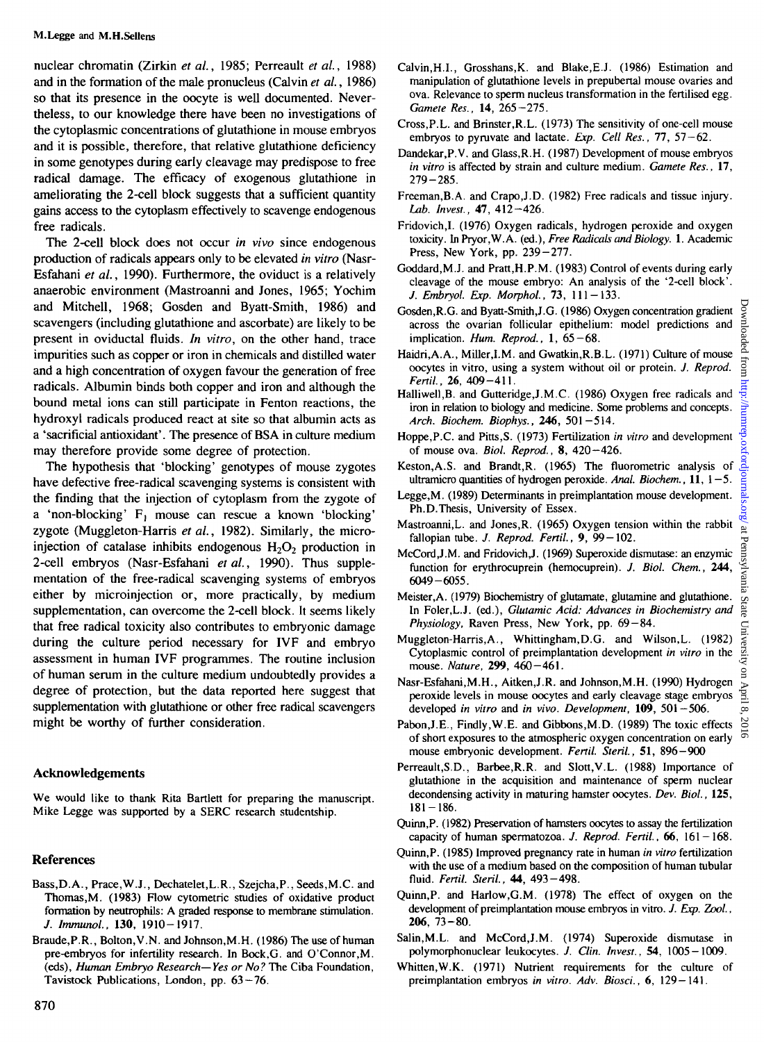nuclear chromatin (Zirkin *et al.,* 1985; Perreault *et al.,* 1988) and in the formation of the male pronucleus (Calvin *et al.,* 1986) so that its presence in the oocyte is well documented. Nevertheless, to our knowledge there have been no investigations of the cytoplasmic concentrations of glutathione in mouse embryos and it is possible, therefore, that relative glutathione deficiency in some genotypes during early cleavage may predispose to free radical damage. The efficacy of exogenous glutathione in ameliorating the 2-cell block suggests that a sufficient quantity gains access to the cytoplasm effectively to scavenge endogenous free radicals.

The 2-cell block does not occur *in vivo* since endogenous production of radicals appears only to be elevated *in vitro* (Nasr-Esfahani *et al.,* 1990). Furthermore, the oviduct is a relatively anaerobic environment (Mastroanni and Jones, 1965; Yochim and Mitchell, 1968; Gosden and Byatt-Smith, 1986) and scavengers (including glutathione and ascorbate) are likely to be present in oviductal fluids. *In vitro,* on the other hand, trace impurities such as copper or iron in chemicals and distilled water and a high concentration of oxygen favour the generation of free radicals. Albumin binds both copper and iron and although the bound metal ions can still participate in Fenton reactions, the hydroxyl radicals produced react at site so that albumin acts as a 'sacrificial antioxidant'. The presence of BSA in culture medium may therefore provide some degree of protection.

The hypothesis that 'blocking' genotypes of mouse zygotes have defective free-radical scavenging systems is consistent with the finding that the injection of cytoplasm from the zygote of a 'non-blocking'  $F_1$  mouse can rescue a known 'blocking' zygote (Muggleton-Harris *et al.,* 1982). Similarly, the microinjection of catalase inhibits endogenous  $H_2O_2$  production in 2-cell embryos (Nasr-Esfahani *et al.,* 1990). Thus supplementation of the free-radical scavenging systems of embryos either by microinjection or, more practically, by medium supplementation, can overcome the 2-cell block. It seems likely that free radical toxicity also contributes to embryonic damage during the culture period necessary for IVF and embryo assessment in human IVF programmes. The routine inclusion of human serum in the culture medium undoubtedly provides a degree of protection, but the data reported here suggest that supplementation with glutathione or other free radical scavengers might be worthy of further consideration.

### **Acknowledgements**

We would like to thank Rita Bartlett for preparing the manuscript. Mike Legge was supported by a SERC research studentship.

### **References**

- Bass,D.A., Prace.W.J., Dechatelet,L.R., Szejcha,P., Seeds,M.C. and Thomas,M. (1983) Flow cytometric studies of oxidative product formation by neutrophils: A graded response to membrane stimulation. *J. Immunol.,* **130,** 1910-1917.
- Braude.P.R., Bolton,V.N. and Johnson, M.H. (1986) The use of human pre-embryos for infertility research. In Bock,G. and O'Connor,M. (eds), *Human Embryo Research*—*Yes or No?* The Ciba Foundation, Tavistock Publications, London, pp. 63—76.
- Calvin.H.I., Grosshans.K. and Blake,E.J. (1986) Estimation and manipulation of glutathione levels in prepubertal mouse ovaries and ova. Relevance to sperm nucleus transformation in the fertilised egg. *Gamete Res.,* **14,** 265-275.
- Cross,P.L. and Brinster.R.L. (1973) The sensitivity of one-cell mouse embryos to pyruvate and lactate. *Exp. Cell Res.,* 77, 57-62.
- Dandekar.P.V. and Glass,R.H. (1987) Development of mouse embryos *in vitro* is affected by strain and culture medium. *Gamete Res.,* 17,  $279 - 203.$
- Freeman, B.A. and Crapo. J.D. (1982) Free radicals and tissue injury. *Lab. Invest.,* 47, 412-426.
- toxicity. In Pryor, W.A. (ed.), Free Radicals and Biology. 1. Academic Press, New York, pp. 239-277.
- Goddard, M.J. and Pratt, H.P.M. (1983) Control of events during early cleavage of the mouse embryo: An analysis of the '2-cell block'. J. Embryol. Exp. Morphol.,  $73$ ,  $111-133$ .
- Gosden, R.G. and Byatt-Smith, J.G. (1986) Oxygen concentration gradient across the ovarian follicular epithelium: model predictions and implication. Hum. Reprod.,  $1, 65-68$ .
- Haidri, A.A., Miller, I.M. and Gwatkin, R.B.L. (1971) Culture of mouse oocytes in vitro, using a system without oil or protein. J. Reprod.<br>Fertil., 26, 409-411. oocytes in vitro, using a system without oil or protein. *J. Reprod.*
- alliwell, B. and Gutteriously iron in relation to biology and medicine. Some problems and concepts. Arch. Biochem. Biophys.,  $246$ ,  $501 - 514$ .
- Hoppe, P.C. and Pitts, S. (1973) Fertilization in vitro and development of mouse ova. Biol. Reprod., 8, 420-426.
- Keston, A.S. and Brandt, R. (1965) The fluorometric analysis of ultramicro quantities of hydrogen peroxide. Anal. Biochem.,  $11$ ,  $1 - 5$ .
- Legge, M. (1989) Determinants in preimplantation mouse development.<br>Ph.D. Thesis, University of Essex.  $\text{F1L}$ . (1989) Determinants in prediction models in prediction models in prediction models in prediction models in prediction models in prediction models in prediction models in prediction models in prediction models i
- $\text{HSTOallill}, L.$  and JORES, R. (1903) C.
- fallopian tube. J. Reprod. Fertil., 9, 99 102.<br>McCord,J.M. and Fridovich,J. (1969) Superoxide dismutase: an enzymic  $\text{C}\text{O}(q, m, \text{ and } 1 \text{ H} \text{O}(\text{C}(\text{C}))$ ,  $\text{C}\text{O}(\text{C})$ ,  $\text{D}\text{O}(\text{C}(\text{C}(\text{C})))$  $MQ - 6055$
- fulction 6049 6055.<br>Meister, A. (1979) Biochemistry of glutamate, glutamine and glutathione. In Foler, L.J. (ed.), Glutamic Acid: Advances in Biochemistry and Physiology, Raven Press, New York, pp.  $69-84$ .
- Muggleton-Harris,A., Whittingham,D.G. and Wilson,L. (1982) Cytoplasmic control of preimplantation development in vitro in the mouse. Nature,  $299$ ,  $460 - 461$ .
- Nasr-Esfahani, M.H., Aitken, J.R. and Johnson, M.H. (1990) Hydrogen peroxide levels in mouse oocytes and early cleavage stage embryos developed in vitro and in vivo. Development,  $109$ ,  $501 - 506$ .
- Pabon, J.E., Findly, W.E. and Gibbons, M.D. (1989) The toxic effects of short exposures to the atmospheric oxygen concentration on early mouse embryonic development. Fertil. Steril., 51, 896-900
- Perreault, S.D., Barbee, R.R. and Slott, V.L. (1988) Importance of glutathione in the acquisition and maintenance of sperm nuclear giutatinone in the acquisition and mannenance of sperm in  $\frac{P}{R}$  Reconcising according in materials national occupies. Bett. Biot.,  $\frac{P}{R}$ ,  $181 - 186$ .<br>Quinn, P. (1982) Preservation of hamsters occytes to assay the fertilization
- capacity of human spermatozoa. *J. Reprod. Fertil.*, 66, 161-168.
- Quinn, P. (1985) Improved pregnancy rate in human in vitro fertilization with the use of a medium based on the composition of human tubular fluid. Fertil. Steril., 44, 493-498.
- Quinn, P. and Harlow, G.M. (1978) The effect of oxygen on the development of preimplantation mouse embryos in vitro. J. Exp. Zool.,  $206, 73-80.$
- Salin, M.L. and McCord, J.M. (1974) Superoxide dismutase in polymorphonuclear leukocytes. J. Clin. Invest., 54, 1005 - 1009.
- Whitten, W.K. (1971) Nutrient requirements for the culture of preimplantation embryos in vitro. Adv. Biosci.,  $6$ ,  $129 - 141$ .